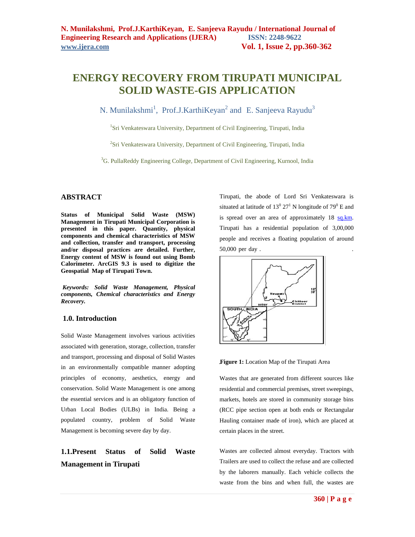# **ENERGY RECOVERY FROM TIRUPATI MUNICIPAL SOLID WASTE-GIS APPLICATION**

N. Munilakshmi<sup>1</sup>, Prof.J.KarthiKeyan<sup>2</sup> and E. Sanjeeva Rayudu<sup>3</sup>

<sup>1</sup>Sri Venkateswara University, Department of Civil Engineering, Tirupati, India

<sup>2</sup>Sri Venkateswara University, Department of Civil Engineering, Tirupati, India

<sup>3</sup>G. PullaReddy Engineering College, Department of Civil Engineering, Kurnool, India

### **ABSTRACT**

**Status of Municipal Solid Waste (MSW) Management in Tirupati Municipal Corporation is presented in this paper. Quantity, physical components and chemical characteristics of MSW and collection, transfer and transport, processing and/or disposal practices are detailed. Further, Energy content of MSW is found out using Bomb Calorimeter. ArcGIS 9.3 is used to digitize the Geospatial Map of Tirupati Town.**

*Keywords: Solid Waste Management, Physical components, Chemical characteristics and Energy Recovery.*

#### **1.0. Introduction**

Solid Waste Management involves various activities associated with generation, storage, collection, transfer and transport, processing and disposal of Solid Wastes in an environmentally compatible manner adopting principles of economy, aesthetics, energy and conservation. Solid Waste Management is one among the essential services and is an obligatory function of Urban Local Bodies (ULBs) in India. Being a populated country, problem of Solid Waste Management is becoming severe day by day.

## **1.1.Present Status of Solid Waste Management in Tirupati**

Tirupati, the abode of Lord Sri Venkateswara is situated at latitude of  $13^0$   $27^1$  N longitude of  $79^0$  E and is spread over an area of approximately 18 sq.km. Tirupati has a residential population of 3,00,000 people and receives a floating population of around 50,000 per day . .



**Figure 1:** Location Map of the Tirupati Area

Wastes that are generated from different sources like residential and commercial premises, street sweepings, markets, hotels are stored in community storage bins (RCC pipe section open at both ends or Rectangular Hauling container made of iron), which are placed at certain places in the street.

Wastes are collected almost everyday. Tractors with Trailers are used to collect the refuse and are collected by the laborers manually. Each vehicle collects the waste from the bins and when full, the wastes are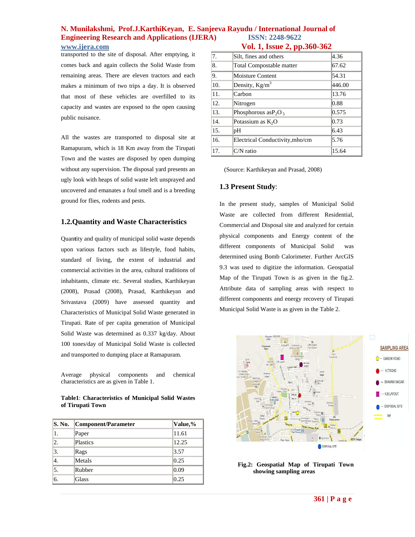## **N. Munilakshmi, Prof.J.KarthiKeyan, E. Sanjeeva Rayudu / International Journal of Engineering Research and Applications (IJERA) ISSN: 2248-9622**  *Vol. 1, Issue 2, pp.360-362*

transported to the site of disposal. After emptying, it comes back and again collects the Solid Waste from remaining areas. There are eleven tractors and each makes a minimum of two trips a day. It is observed that most of these vehicles are overfilled to its capacity and wastes are exposed to the open causing public nuisance.

All the wastes are transported to disposal site at Ramapuram, which is 18 Km away from the Tirupati Town and the wastes are disposed by open dumping without any supervision. The disposal yard presents an ugly look with heaps of solid waste left unsprayed and uncovered and emanates a foul smell and is a breeding ground for flies, rodents and pests.

### **1.2.Quantity and Waste Characteristics**

Quan**t**ity and quality of municipal solid waste depends upon various factors such as lifestyle, food habits, standard of living, the extent of industrial and commercial activities in the area, cultural traditions of inhabitants, climate etc. Several studies, Karthikeyan (2008), Prasad (2008), Prasad, Karthikeyan and Srivastava (2009) have assessed quantity and Characteristics of Municipal Solid Waste generated in Tirupati. Rate of per capita generation of Municipal Solid Waste was determined as 0.337 kg/day. About 100 tones/day of Municipal Solid Waste is collected and transported to dumping place at Ramapuram.

Average physical components and chemical characteristics are as given in Table 1.

**Table1**: **Characteristics of Municipal Solid Wastes of Tirupati Town**

| S. No. | Component/Parameter | Value,% |
|--------|---------------------|---------|
| 1.     | Paper               | 11.61   |
| 2.     | Plastics            | 12.25   |
| 3.     | Rags                | 3.57    |
| 4.     | Metals              | 0.25    |
| 5.     | Rubber              | 0.09    |
| 6.     | Glass               | 0.25    |

| 7.  | Silt, fines and others          | 4.36   |  |  |  |
|-----|---------------------------------|--------|--|--|--|
| 8.  | Total Compostable matter        | 67.62  |  |  |  |
| 9.  | <b>Moisture Content</b>         | 54.31  |  |  |  |
| 10. | Density, $Kg/m^3$               | 446.00 |  |  |  |
| 11. | Carbon                          | 13.76  |  |  |  |
| 12. | Nitrogen                        | 0.88   |  |  |  |
| 13. | Phosphorous as $P_2O_5$         | 0.575  |  |  |  |
| 14. | Potassium as $K_2O$             | 0.73   |  |  |  |
| 15. | pH                              | 6.43   |  |  |  |
| 16. | Electrical Conductivity, mho/cm | 5.76   |  |  |  |
| 17. | $C/N$ ratio                     | 15.64  |  |  |  |

(Source: Karthikeyan and Prasad, 2008)

## **1.3 Present Study**:

In the present study, samples of Municipal Solid Waste are collected from different Residential, Commercial and Disposal site and analyzed for certain physical components and Energy content of the different components of Municipal Solid was determined using Bomb Calorimeter. Further ArcGIS 9.3 was used to digitize the information. Geospatial Map of the Tirupati Town is as given in the fig.2. Attribute data of sampling areas with respect to different components and energy recovery of Tirupati Municipal Solid Waste is as given in the Table 2.



 **Fig.2: Geospatial Map of Tirupati Town showing sampling areas**